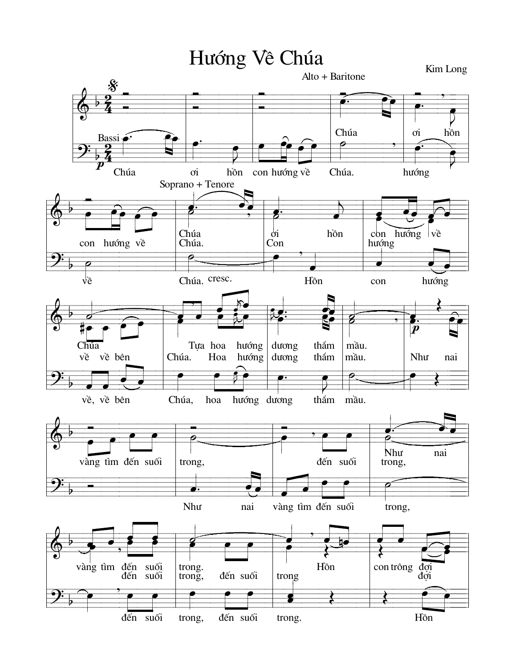